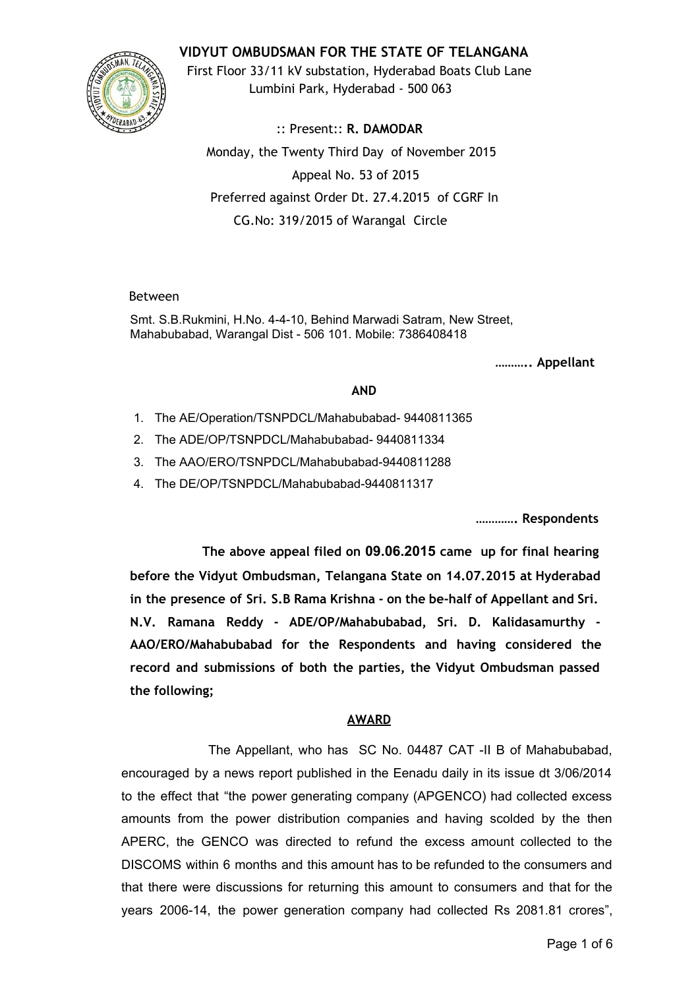**VIDYUT OMBUDSMAN FOR THE STATE OF TELANGANA**



First Floor 33/11 kV substation, Hyderabad Boats Club Lane Lumbini Park, Hyderabad - 500 063

:: Present:: **R. DAMODAR** Monday, the Twenty Third Day of November 2015 Appeal No. 53 of 2015 Preferred against Order Dt. 27.4.2015 of CGRF In CG.No: 319/2015 of Warangal Circle

## Between

Smt. S.B.Rukmini, H.No. 4410, Behind Marwadi Satram, New Street, Mahabubabad, Warangal Dist - 506 101. Mobile: 7386408418

**……….. Appellant**

# **AND**

- 1. The AE/Operation/TSNPDCL/Mahabubabad-9440811365
- 2. The ADE/OP/TSNPDCL/Mahabubabad-9440811334
- 3. The AAO/ERO/TSNPDCL/Mahabubabad-9440811288
- 4. The DE/OP/TSNPDCL/Mahabubabad-9440811317

**…………. Respondents**

**The above appeal filed on 09.06.2015 came up for final hearing before the Vidyut Ombudsman, Telangana State on 14.07.2015 at Hyderabad in the presence of Sri. S.B Rama Krishna - on the be-half of Appellant and Sri. N.V. Ramana Reddy - ADE/OP/Mahabubabad, Sri. D. Kalidasamurthy - AAO/ERO/Mahabubabad for the Respondents and having considered the record and submissions of both the parties, the Vidyut Ombudsman passed the following;**

## **AWARD**

The Appellant, who has SC No. 04487 CAT -II B of Mahabubabad, encouraged by a news report published in the Eenadu daily in its issue dt 3/06/2014 to the effect that "the power generating company (APGENCO) had collected excess amounts from the power distribution companies and having scolded by the then APERC, the GENCO was directed to refund the excess amount collected to the DISCOMS within 6 months and this amount has to be refunded to the consumers and that there were discussions for returning this amount to consumers and that for the years 2006-14, the power generation company had collected Rs 2081.81 crores",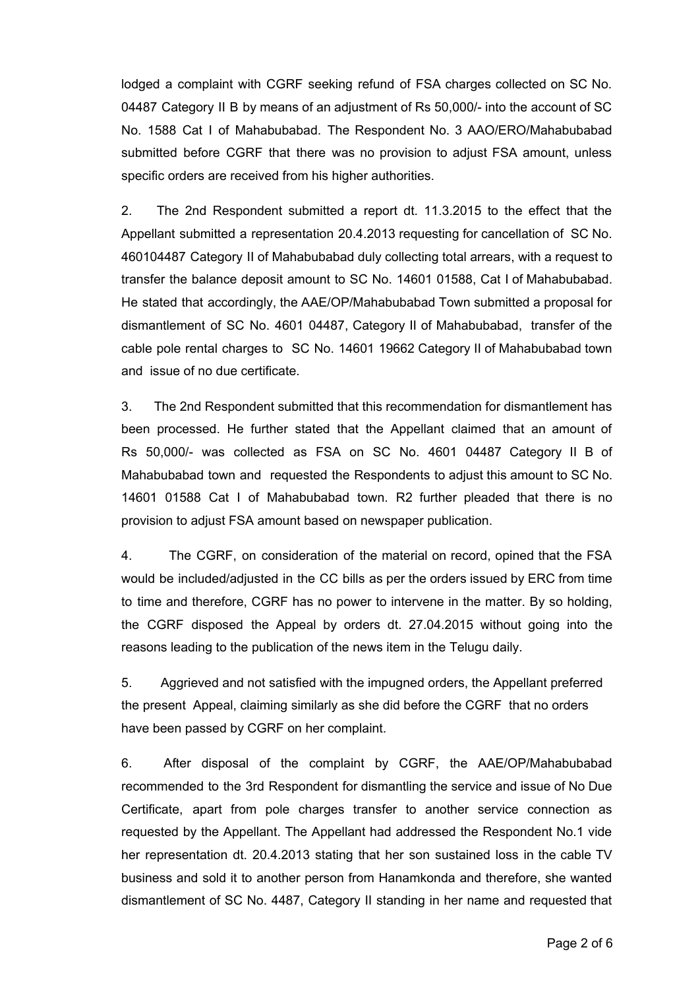lodged a complaint with CGRF seeking refund of FSA charges collected on SC No. 04487 Category II B by means of an adjustment of Rs 50,000/- into the account of SC No. 1588 Cat I of Mahabubabad. The Respondent No. 3 AAO/ERO/Mahabubabad submitted before CGRF that there was no provision to adjust FSA amount, unless specific orders are received from his higher authorities.

2. The 2nd Respondent submitted a report dt. 11.3.2015 to the effect that the Appellant submitted a representation 20.4.2013 requesting for cancellation of SC No. 460104487 Category II of Mahabubabad duly collecting total arrears, with a request to transfer the balance deposit amount to SC No. 14601 01588, Cat I of Mahabubabad. He stated that accordingly, the AAE/OP/Mahabubabad Town submitted a proposal for dismantlement of SC No. 4601 04487, Category II of Mahabubabad, transfer of the cable pole rental charges to SC No. 14601 19662 Category II of Mahabubabad town and issue of no due certificate.

3. The 2nd Respondent submitted that this recommendation for dismantlement has been processed. He further stated that the Appellant claimed that an amount of Rs 50,000/ was collected as FSA on SC No. 4601 04487 Category II B of Mahabubabad town and requested the Respondents to adjust this amount to SC No. 14601 01588 Cat I of Mahabubabad town. R2 further pleaded that there is no provision to adjust FSA amount based on newspaper publication.

4. The CGRF, on consideration of the material on record, opined that the FSA would be included/adjusted in the CC bills as per the orders issued by ERC from time to time and therefore, CGRF has no power to intervene in the matter. By so holding, the CGRF disposed the Appeal by orders dt. 27.04.2015 without going into the reasons leading to the publication of the news item in the Telugu daily.

5. Aggrieved and not satisfied with the impugned orders, the Appellant preferred the present Appeal, claiming similarly as she did before the CGRF that no orders have been passed by CGRF on her complaint.

6. After disposal of the complaint by CGRF, the AAE/OP/Mahabubabad recommended to the 3rd Respondent for dismantling the service and issue of No Due Certificate, apart from pole charges transfer to another service connection as requested by the Appellant. The Appellant had addressed the Respondent No.1 vide her representation dt. 20.4.2013 stating that her son sustained loss in the cable TV business and sold it to another person from Hanamkonda and therefore, she wanted dismantlement of SC No. 4487, Category II standing in her name and requested that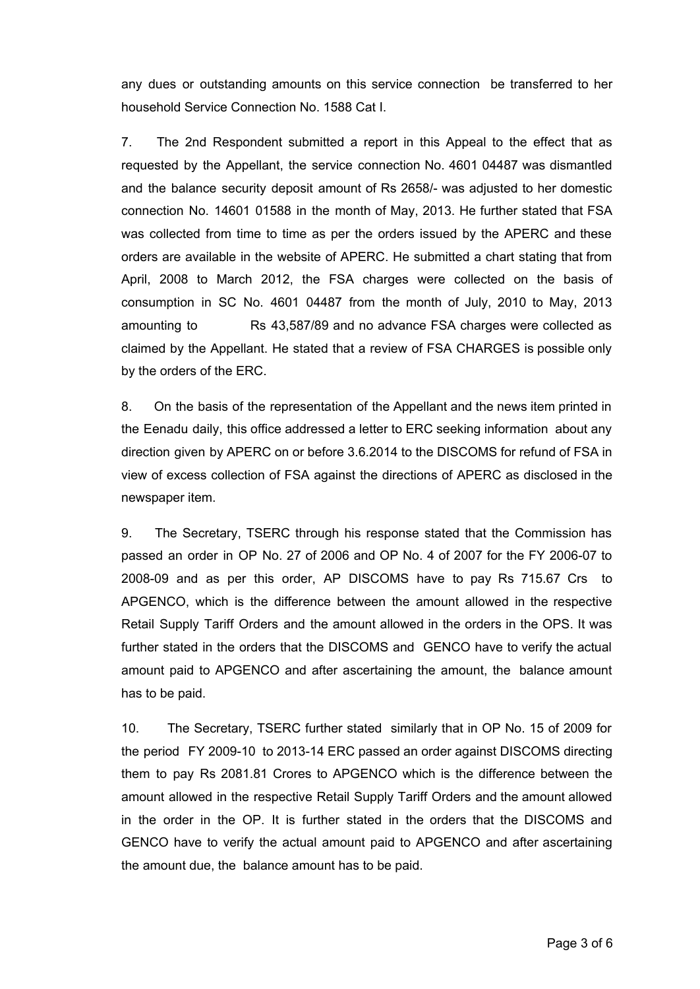any dues or outstanding amounts on this service connection be transferred to her household Service Connection No. 1588 Cat I.

7. The 2nd Respondent submitted a report in this Appeal to the effect that as requested by the Appellant, the service connection No. 4601 04487 was dismantled and the balance security deposit amount of Rs 2658/- was adjusted to her domestic connection No. 14601 01588 in the month of May, 2013. He further stated that FSA was collected from time to time as per the orders issued by the APERC and these orders are available in the website of APERC. He submitted a chart stating that from April, 2008 to March 2012, the FSA charges were collected on the basis of consumption in SC No. 4601 04487 from the month of July, 2010 to May, 2013 amounting to Rs 43,587/89 and no advance FSA charges were collected as claimed by the Appellant. He stated that a review of FSA CHARGES is possible only by the orders of the ERC.

8. On the basis of the representation of the Appellant and the news item printed in the Eenadu daily, this office addressed a letter to ERC seeking information about any direction given by APERC on or before 3.6.2014 to the DISCOMS for refund of FSA in view of excess collection of FSA against the directions of APERC as disclosed in the newspaper item.

9. The Secretary, TSERC through his response stated that the Commission has passed an order in OP No. 27 of 2006 and OP No. 4 of 2007 for the FY 2006-07 to 2008-09 and as per this order, AP DISCOMS have to pay Rs 715.67 Crs to APGENCO, which is the difference between the amount allowed in the respective Retail Supply Tariff Orders and the amount allowed in the orders in the OPS. It was further stated in the orders that the DISCOMS and GENCO have to verify the actual amount paid to APGENCO and after ascertaining the amount, the balance amount has to be paid.

10. The Secretary, TSERC further stated similarly that in OP No. 15 of 2009 for the period FY 2009-10 to 2013-14 ERC passed an order against DISCOMS directing them to pay Rs 2081.81 Crores to APGENCO which is the difference between the amount allowed in the respective Retail Supply Tariff Orders and the amount allowed in the order in the OP. It is further stated in the orders that the DISCOMS and GENCO have to verify the actual amount paid to APGENCO and after ascertaining the amount due, the balance amount has to be paid.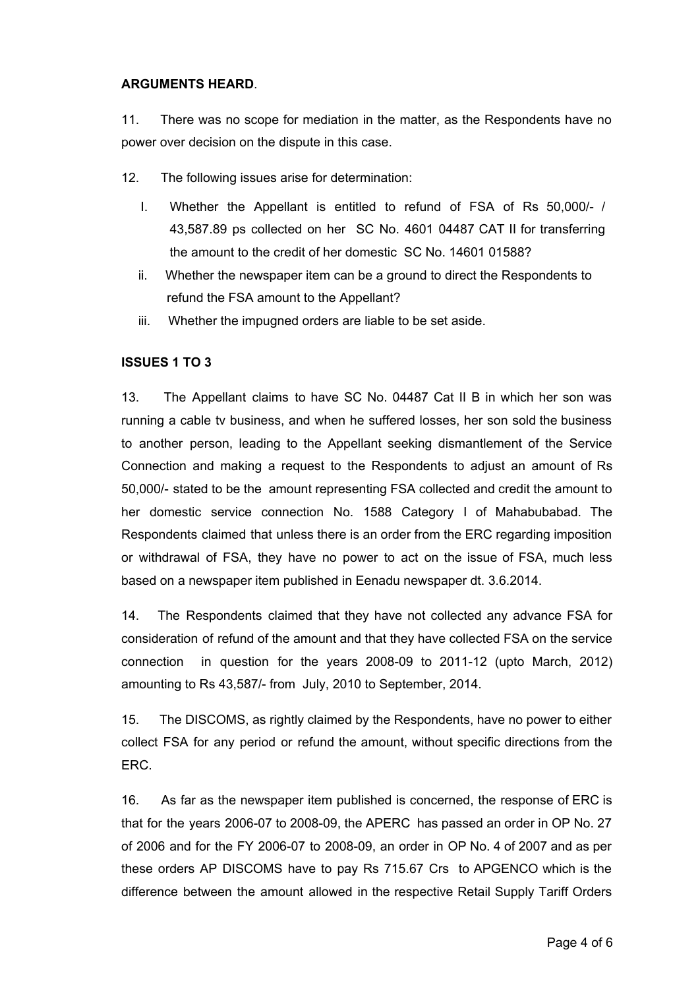### **ARGUMENTS HEARD**.

11. There was no scope for mediation in the matter, as the Respondents have no power over decision on the dispute in this case.

12. The following issues arise for determination:

- I. Whether the Appellant is entitled to refund of FSA of Rs 50,000/- / 43,587.89 ps collected on her SC No. 4601 04487 CAT II for transferring the amount to the credit of her domestic SC No. 14601 01588?
- ii. Whether the newspaper item can be a ground to direct the Respondents to refund the FSA amount to the Appellant?
- iii. Whether the impugned orders are liable to be set aside.

## **ISSUES 1 TO 3**

13. The Appellant claims to have SC No. 04487 Cat II B in which her son was running a cable tv business, and when he suffered losses, her son sold the business to another person, leading to the Appellant seeking dismantlement of the Service Connection and making a request to the Respondents to adjust an amount of Rs 50,000/ stated to be the amount representing FSA collected and credit the amount to her domestic service connection No. 1588 Category I of Mahabubabad. The Respondents claimed that unless there is an order from the ERC regarding imposition or withdrawal of FSA, they have no power to act on the issue of FSA, much less based on a newspaper item published in Eenadu newspaper dt. 3.6.2014.

14. The Respondents claimed that they have not collected any advance FSA for consideration of refund of the amount and that they have collected FSA on the service connection in question for the years  $2008-09$  to  $2011-12$  (upto March,  $2012$ ) amounting to Rs 43,587/ from July, 2010 to September, 2014.

15. The DISCOMS, as rightly claimed by the Respondents, have no power to either collect FSA for any period or refund the amount, without specific directions from the ERC.

16. As far as the newspaper item published is concerned, the response of ERC is that for the years 2006-07 to 2008-09, the APERC has passed an order in OP No. 27 of 2006 and for the FY 2006-07 to 2008-09, an order in OP No. 4 of 2007 and as per these orders AP DISCOMS have to pay Rs 715.67 Crs to APGENCO which is the difference between the amount allowed in the respective Retail Supply Tariff Orders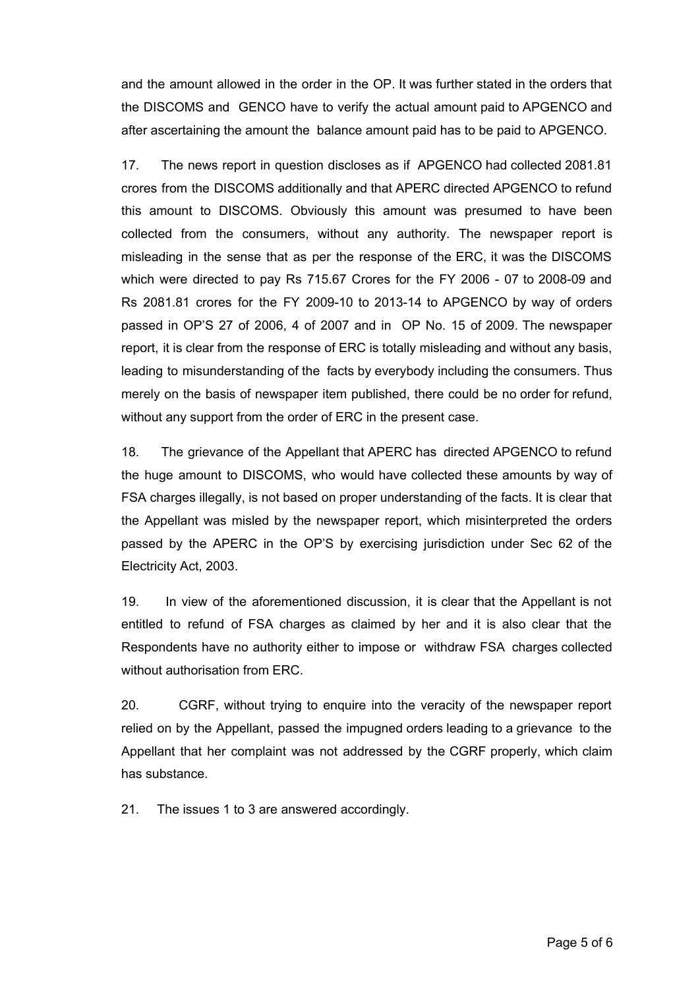and the amount allowed in the order in the OP. It was further stated in the orders that the DISCOMS and GENCO have to verify the actual amount paid to APGENCO and after ascertaining the amount the balance amount paid has to be paid to APGENCO.

17. The news report in question discloses as if APGENCO had collected 2081.81 crores from the DISCOMS additionally and that APERC directed APGENCO to refund this amount to DISCOMS. Obviously this amount was presumed to have been collected from the consumers, without any authority. The newspaper report is misleading in the sense that as per the response of the ERC, it was the DISCOMS which were directed to pay Rs 715.67 Crores for the FY 2006 - 07 to 2008-09 and Rs 2081.81 crores for the FY 2009-10 to 2013-14 to APGENCO by way of orders passed in OP'S 27 of 2006, 4 of 2007 and in OP No. 15 of 2009. The newspaper report, it is clear from the response of ERC is totally misleading and without any basis, leading to misunderstanding of the facts by everybody including the consumers. Thus merely on the basis of newspaper item published, there could be no order for refund, without any support from the order of ERC in the present case.

18. The grievance of the Appellant that APERC has directed APGENCO to refund the huge amount to DISCOMS, who would have collected these amounts by way of FSA charges illegally, is not based on proper understanding of the facts. It is clear that the Appellant was misled by the newspaper report, which misinterpreted the orders passed by the APERC in the OP'S by exercising jurisdiction under Sec 62 of the Electricity Act, 2003.

19. In view of the aforementioned discussion, it is clear that the Appellant is not entitled to refund of FSA charges as claimed by her and it is also clear that the Respondents have no authority either to impose or withdraw FSA charges collected without authorisation from ERC.

20. CGRF, without trying to enquire into the veracity of the newspaper report relied on by the Appellant, passed the impugned orders leading to a grievance to the Appellant that her complaint was not addressed by the CGRF properly, which claim has substance.

21. The issues 1 to 3 are answered accordingly.